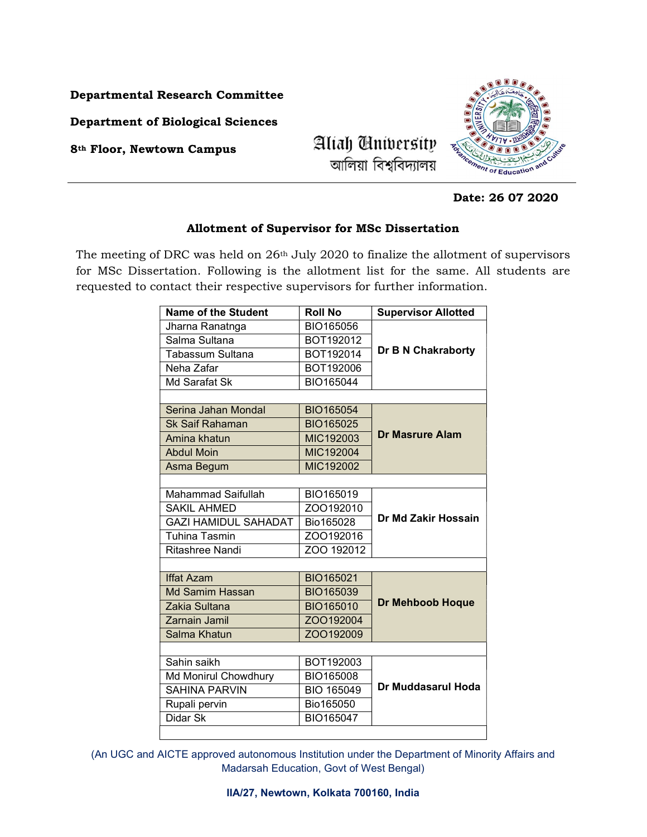## Departmental Research Committee

## Department of Biological Sciences

8th Floor, Newtown Campus



Date: 26 07 2020

## Allotment of Supervisor for MSc Dissertation

The meeting of DRC was held on 26<sup>th</sup> July 2020 to finalize the allotment of supervisors for MSc Dissertation. Following is the allotment list for the same. All students are requested to contact their respective supervisors for further information.

| <b>Name of the Student</b>  | <b>Roll No</b>   | <b>Supervisor Allotted</b> |
|-----------------------------|------------------|----------------------------|
| Jharna Ranatnga             | BIO165056        | Dr B N Chakraborty         |
| Salma Sultana               | BOT192012        |                            |
| <b>Tabassum Sultana</b>     | BOT192014        |                            |
| Neha Zafar                  | BOT192006        |                            |
| Md Sarafat Sk               | BIO165044        |                            |
|                             |                  |                            |
| Serina Jahan Mondal         | BIO165054        | <b>Dr Masrure Alam</b>     |
| <b>Sk Saif Rahaman</b>      | <b>BIO165025</b> |                            |
| Amina khatun                | MIC192003        |                            |
| <b>Abdul Moin</b>           | MIC192004        |                            |
| Asma Begum                  | MIC192002        |                            |
|                             |                  |                            |
| <b>Mahammad Saifullah</b>   | BIO165019        | Dr Md Zakir Hossain        |
| <b>SAKIL AHMED</b>          | ZOO192010        |                            |
| <b>GAZI HAMIDUL SAHADAT</b> | Bio165028        |                            |
| <b>Tuhina Tasmin</b>        | ZOO192016        |                            |
| Ritashree Nandi             | ZOO 192012       |                            |
|                             |                  |                            |
| <b>Iffat Azam</b>           | BIO165021        | <b>Dr Mehboob Hoque</b>    |
| Md Samim Hassan             | BIO165039        |                            |
| Zakia Sultana               | BIO165010        |                            |
| Zarnain Jamil               | ZOO192004        |                            |
| Salma Khatun                | ZOO192009        |                            |
|                             |                  |                            |
| Sahin saikh                 | BOT192003        | Dr Muddasarul Hoda         |
| Md Monirul Chowdhury        | BIO165008        |                            |
| <b>SAHINA PARVIN</b>        | BIO 165049       |                            |
| Rupali pervin               | Bio165050        |                            |
| Didar Sk                    | BIO165047        |                            |

(An UGC and AICTE approved autonomous Institution under the Department of Minority Affairs and Madarsah Education, Govt of West Bengal)